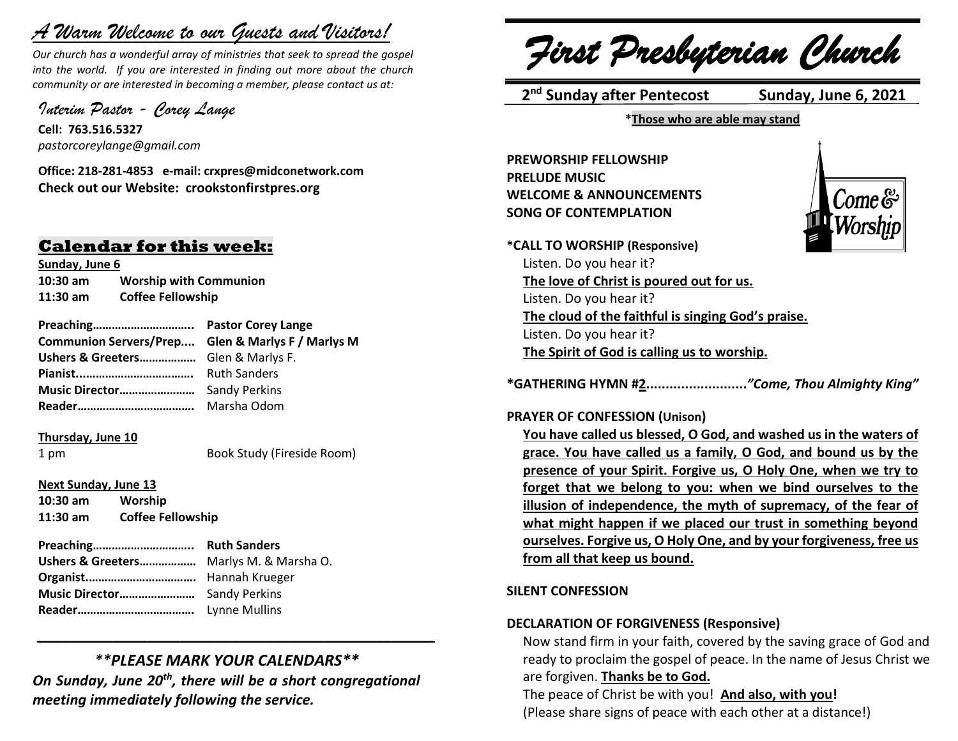# *A Warm Welcome to our Guests and Visitors!*

*Our church has a wonderful array of ministries that seek to spread the gospel into the world. If you are interested in finding out more about the church community or are interested in becoming a member, please contact us at:*

*Interim Pastor - Corey Lange* 

**Cell: 763.516.5327** *pastorcoreylange@gmail.com*

**Office: 218-281-4853 e-mail: crxpres@midconetwork.com Check out our Website: crookstonfirstpres.org**

## **Calendar for this week:**

**Sunday, June 6 10:30 am Worship with Communion 11:30 am Coffee Fellowship**

**Preaching………………………….. Pastor Corey Lange Communion Servers/Prep.... Glen & Marlys F / Marlys M Ushers & Greeters………………** Glen & Marlys F. **Pianist...…………………………….** Ruth Sanders **Music Director……………………** Sandy Perkins **Reader……………………………….** Marsha Odom

### **Thursday, June 10**

1 pm Book Study (Fireside Room)

**Next Sunday, June 13**

**10:30 am Worship 11:30 am Coffee Fellowship**

**Preaching………………………….. Ruth Sanders Ushers & Greeters………………** Marlys M. & Marsha O. **Organist.…………………………….** Hannah Krueger **Music Director……………………** Sandy Perkins **Reader……………………………….** Lynne Mullins

# *\*\*PLEASE MARK YOUR CALENDARS\*\**

*\_\_\_\_\_\_\_\_\_\_\_\_\_\_\_\_\_\_\_\_\_\_\_\_\_\_\_\_\_\_\_\_\_\_\_\_\_\_\_\_\_\_\_\_\_\_\_*

*On Sunday, June 20th, there will be a short congregational meeting immediately following the service.*

*First Presbyterian Church*

 **2 nd Sunday after Pentecost Sunday, June 6, 2021**

**\*Those who are able may stand**

**PREWORSHIP FELLOWSHIP PRELUDE MUSIC WELCOME & ANNOUNCEMENTS SONG OF CONTEMPLATION**



**\*CALL TO WORSHIP (Responsive)** Listen. Do you hear it? **The love of Christ is poured out for us.** Listen. Do you hear it? **The cloud of the faithful is singing God's praise.** Listen. Do you hear it? **The Spirit of God is calling us to worship.**

**\*GATHERING HYMN #2..........................***"Come, Thou Almighty King"*

### **PRAYER OF CONFESSION (Unison)**

**You have called us blessed, O God, and washed us in the waters of grace. You have called us a family, O God, and bound us by the presence of your Spirit. Forgive us, O Holy One, when we try to forget that we belong to you: when we bind ourselves to the illusion of independence, the myth of supremacy, of the fear of what might happen if we placed our trust in something beyond ourselves. Forgive us, O Holy One, and by your forgiveness, free us from all that keep us bound.**

### **SILENT CONFESSION**

### **DECLARATION OF FORGIVENESS (Responsive)**

Now stand firm in your faith, covered by the saving grace of God and ready to proclaim the gospel of peace. In the name of Jesus Christ we are forgiven. **Thanks be to God.**

The peace of Christ be with you! **And also, with you!** (Please share signs of peace with each other at a distance!)